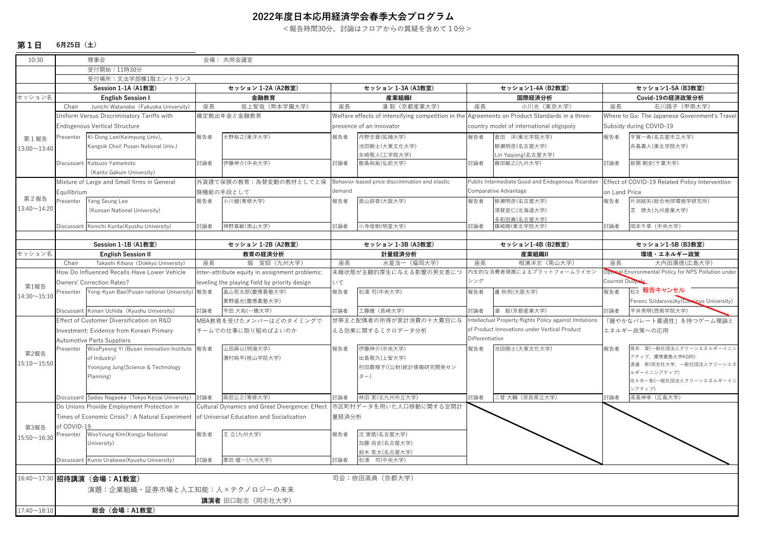## **2022年度⽇本応⽤経済学会春季⼤会プログラム**

<報告時間30分、討論はフロアからの質疑を含めて10分>

## **第1⽇6⽉25⽇(⼟)**

| 10:30              |                                                 | 理事会                                                   |                                                | 会場: 共用会議室                                      |                                                                                                |                                                 |                                                                  |                                                   |                                                                           |                                                |  |
|--------------------|-------------------------------------------------|-------------------------------------------------------|------------------------------------------------|------------------------------------------------|------------------------------------------------------------------------------------------------|-------------------------------------------------|------------------------------------------------------------------|---------------------------------------------------|---------------------------------------------------------------------------|------------------------------------------------|--|
|                    |                                                 | 受付開始: 11時30分                                          |                                                |                                                |                                                                                                |                                                 |                                                                  |                                                   |                                                                           |                                                |  |
|                    | 受付場所:文法学部棟1階エントランス                              |                                                       |                                                |                                                |                                                                                                |                                                 |                                                                  |                                                   |                                                                           |                                                |  |
|                    |                                                 | Session 1-1A (A1教室)                                   |                                                | セッション 1-2A (A2教室)                              | セッション 1-3A (A3教室)                                                                              |                                                 | セッション1-4A (B2教室)                                                 |                                                   |                                                                           | セッション1-5A (B3教室)                               |  |
| セッション名             |                                                 | <b>English Session I</b>                              |                                                | 金融教育                                           | 産業組織I                                                                                          |                                                 | 国際経済分析                                                           |                                                   | Covid-19の経済政策分析                                                           |                                                |  |
|                    | Chair                                           | Junichi Watanabe (Fukuoka University)                 | 座長                                             | 坂上智哉 (熊本学園大学)                                  | 座長                                                                                             | 潘 聡 (京都産業大学)                                    | 座長                                                               | 小川光 (東京大学)                                        | 座長                                                                        | 石川路子 (甲南大学)                                    |  |
|                    | Uniform Versus Discriminatory Tariffs with      |                                                       | 確定拠出年金と金融教育                                    |                                                | Welfare effects of intensifying competition in the Agreements on Product Standards in a three- |                                                 |                                                                  |                                                   | Where to Go: The Japanese Government's Travel                             |                                                |  |
|                    | <b>Endogenous Vertical Structure</b>            |                                                       |                                                |                                                | presence of an innovator                                                                       |                                                 | country model of international oligopoly                         |                                                   | Subsidy during COVID-19                                                   |                                                |  |
| 第1報告               | Presenter                                       | Ki-Dong Lee(Keimyung Univ),                           | 報告者                                            | 大野裕之(東洋大学)                                     | 報告者                                                                                            | 丹野忠晋(拓殖大学)                                      | 報告者                                                              | 倉田 洋(東北学院大学)                                      | 報告者                                                                       | 平賀一希(名古屋市立大学)                                  |  |
| $13:00 - 13:40$    |                                                 | Kangsik Choi( Pusan National Univ.)                   |                                                |                                                |                                                                                                | 地田剛士(大東文化大学)                                    |                                                                  | 柳瀬明彦(名古屋大学)                                       |                                                                           | 舟島義人(東北学院大学)                                   |  |
|                    |                                                 |                                                       |                                                |                                                |                                                                                                | 矢崎敬人(工学院大学)                                     |                                                                  | Lin Yaqiong(名古屋大学)                                |                                                                           |                                                |  |
|                    | Discussant                                      | Katsuzo Yamamoto                                      | 討論者                                            | 伊藤伸介(中央大学)                                     | 討論者                                                                                            | 飯島裕胤(弘前大学)                                      | 討論者                                                              | 藤田敏之(九州大学)                                        | 討論者                                                                       | 新関 剛史(千葉大学)                                    |  |
|                    |                                                 | (Kanto Gakuin University)                             |                                                |                                                |                                                                                                |                                                 |                                                                  |                                                   |                                                                           |                                                |  |
|                    |                                                 | Mixture of Large and Small firms in General           |                                                | 外貨建て保険の教育:為替変動の教材としてと保                         |                                                                                                | Behavior-based price discrimination and elastic |                                                                  | Public Intermediate Good and Endogenous Ricardian |                                                                           | Effect of COVID-19 Related Policy Intervention |  |
|                    | Equilibrium                                     |                                                       |                                                | 険機能の手段として                                      |                                                                                                | demand                                          |                                                                  | Comparative Advantage                             |                                                                           | on Land Price                                  |  |
| 第2報告               | Presenter                                       | Yang Seung Lee                                        | 報告者                                            | 小川健(専修大学)                                      | 報告者                                                                                            | 奥山鈴香(大阪大学)                                      | 報告者                                                              | 柳瀬明彦(名古屋大学)                                       | 報告者                                                                       | 片渕結矢(総合地球環境学研究所)                               |  |
| 13:40~14:20        |                                                 | (Kunsan National University)                          |                                                |                                                |                                                                                                |                                                 |                                                                  | 須賀宣仁(北海道大学)                                       |                                                                           | 芝 啓太(九州産業大学)                                   |  |
|                    |                                                 |                                                       |                                                |                                                |                                                                                                |                                                 |                                                                  | 多和田眞(名古屋大学)                                       |                                                                           |                                                |  |
|                    |                                                 | Discussant Kenichi Kurita(Kyushu University)          | 討論者                                            | 神野真敏(南山大学)                                     | 討論者                                                                                            | 小寺俊樹(明星大学)                                      | 討論者                                                              | 篠崎剛(東北学院大学)                                       | 討論者                                                                       | 岡本千草 (中央大学)                                    |  |
|                    |                                                 |                                                       |                                                |                                                |                                                                                                |                                                 |                                                                  |                                                   |                                                                           |                                                |  |
|                    | Session 1-1B (A1教室)                             |                                                       | セッション 1-2B (A2教室)                              |                                                | セッション 1-3B (A3教室)                                                                              |                                                 | セッション1-4B (B2教室)                                                 |                                                   | セッション1-5B (B3教室)                                                          |                                                |  |
| セッション名             |                                                 | <b>English Session II</b>                             |                                                | 教育の経済分析                                        |                                                                                                | 計量経済分析                                          |                                                                  | 産業組織II                                            |                                                                           | 環境・エネルギー政策                                     |  |
|                    | Chair<br>Takashi Kihara (Dokkyo University)     |                                                       | 座長<br>堀 宣昭 (九州大学)                              |                                                | 座長<br>永星浩一 (福岡大学)                                                                              |                                                 | 相浦洋志 (南山大学)<br>座長                                                |                                                   | 大内田康徳(広島大学)<br>座長<br>Optimal Environmental Policy for NPS Pollution under |                                                |  |
|                    | How Do Influenced Recalls Have Lower Vehicle    |                                                       | Inter-attribute equity in assignment problems: |                                                | 未婚状態が主観的厚生に与える影響の男女差につ                                                                         |                                                 | 内生的な消費者帰属によるプラットフォームライセン<br>シング                                  |                                                   | Cournot Duopely                                                           |                                                |  |
| 第1報告               |                                                 | <b>Owners' Correction Rates?</b>                      |                                                | leveling the playing field by priority design  | いて                                                                                             |                                                 |                                                                  |                                                   |                                                                           | <b>極z 報告キャンセル</b>                              |  |
| $14:30 \sim 15:10$ | Presenter                                       | Yong-Kyun Bae(Pusan national University) 報告者          |                                                | 畠山哲太郎(慶應義塾大学)                                  | 報告者                                                                                            | 松浦 司(中央大学)                                      | 報告者                                                              | 盧 秋雨(大阪大学)                                        | 報告者                                                                       |                                                |  |
|                    |                                                 |                                                       |                                                | 栗野盛光(慶應義塾大学)                                   |                                                                                                |                                                 |                                                                  |                                                   |                                                                           | Ferenc Szidarovszky (Cominus University)       |  |
|                    |                                                 | Discussant Konari Uchida (Kyushu University)          | 討論者                                            | 平田 大祐(一橋大学)                                    | 討論者                                                                                            | 工藤健(長崎大学)                                       | 討論者                                                              | 潘 聡(京都産業大学)                                       | 討論者                                                                       | 平井秀明(西南学院大学)                                   |  |
|                    | Effect of Customer Diversification on R&D       |                                                       | MBA教育を受けたメンバーはどのタイミングで                         |                                                | 世帯主と配偶者の所得が家計消費の十大費目に与                                                                         |                                                 | Intellectual Property Rights Policy against Imitations           |                                                   | 「緩やかなパレート最適性」を持つゲーム理論と                                                    |                                                |  |
|                    | Investment: Evidence from Korean Primary        |                                                       | チームでの仕事に取り組めばよいのか                              |                                                | える効果に関するミクロデータ分析                                                                               |                                                 | of Product Innovations under Vertical Product<br>Differentiation |                                                   | エネルギー政策への応用                                                               |                                                |  |
|                    |                                                 | <b>Automotive Parts Suppliers</b>                     |                                                |                                                |                                                                                                |                                                 |                                                                  |                                                   |                                                                           |                                                |  |
| 第2報告               | Presenter                                       | WooPyeong Yi (Busan innovation Institute 報告者          |                                                | 山田麻以(明海大学)                                     | 報告者                                                                                            | 伊藤伸介(中央大学)                                      | 報告者                                                              | 池田剛士(大東文化大学)                                      | 報告者                                                                       | 筒井 潔(一般社団法人クリーンエネルギーイニシ<br>アティブ、慶應義塾大学KGRI)    |  |
| $15:10 - 15:50$    |                                                 | of Industry)                                          |                                                | 濵村純平(桃山学院大学)                                   |                                                                                                | 出島敬久(上智大学)                                      |                                                                  |                                                   |                                                                           | 渡邉 崇(同志社大学, 一般社団法人クリーンエネ                       |  |
|                    |                                                 | Yoonjung Jung(Science & Technology                    |                                                |                                                |                                                                                                | 村田磨理子((公財)統計情報研究開発セン                            |                                                                  |                                                   |                                                                           | レギーイニシアティブ)                                    |  |
|                    |                                                 | Planning)                                             |                                                |                                                |                                                                                                | $\zeta$ - $\zeta$                               |                                                                  |                                                   |                                                                           | 佐々木一彰(一般社団法人クリーンエネルギーイニ                        |  |
|                    |                                                 |                                                       |                                                |                                                |                                                                                                |                                                 |                                                                  |                                                   |                                                                           | シアティブ)                                         |  |
|                    |                                                 | Discussant Sadao Nagaoka(Tokyo Keizai University) 討論者 |                                                | 森田公之(専修大学)                                     | 讨論者                                                                                            | 林田実(北九州市立大学)                                    | 討論者                                                              | 二替 大輔 (奈良県立大学)                                    | 討論者                                                                       | 高島伸幸 (広島大学)                                    |  |
|                    |                                                 | Do Unions Provide Employment Protection in            |                                                | Cultural Dynamics and Great Divergence: Effect |                                                                                                | 市区町村データを用いた人口移動に関する空間計                          |                                                                  |                                                   |                                                                           |                                                |  |
|                    | Times of Economic Crisis?: A Natural Experiment |                                                       | of Universal Education and Socialization       |                                                | 量経済分析                                                                                          |                                                 |                                                                  |                                                   |                                                                           |                                                |  |
| 第3報告               | of COVID-19                                     |                                                       |                                                |                                                |                                                                                                |                                                 |                                                                  |                                                   |                                                                           |                                                |  |
| $15:50 - 16:30$    | Presenter                                       | WooYoung Kim (Kongju National                         | 報告者                                            | 王 立(九州大学)                                      | 報告者                                                                                            | 沈家皓(名古屋大学)                                      |                                                                  |                                                   |                                                                           |                                                |  |
|                    |                                                 | University)                                           |                                                |                                                |                                                                                                | 加藤 尚史(名古屋大学)                                    |                                                                  |                                                   |                                                                           |                                                |  |
|                    |                                                 |                                                       |                                                |                                                |                                                                                                | 鈴木 笙太(名古屋大学)                                    |                                                                  |                                                   |                                                                           |                                                |  |
|                    |                                                 | Discussant Kunio Urakawa (Kyushu University)          | 討論者                                            | 栗田健一(九州大学)                                     | 討論者                                                                                            | 松浦 司(中央大学)                                      |                                                                  |                                                   |                                                                           |                                                |  |
|                    |                                                 |                                                       |                                                |                                                |                                                                                                | 司会:依田高典 (京都大学)                                  |                                                                  |                                                   |                                                                           |                                                |  |
|                    | 16:40~17:30 招待講演 (会場: A1教室)                     |                                                       |                                                |                                                |                                                                                                |                                                 |                                                                  |                                                   |                                                                           |                                                |  |
|                    |                                                 | 演題:企業組織・証券市場と人工知能:人×テクノロジーの未来                         |                                                |                                                |                                                                                                |                                                 |                                                                  |                                                   |                                                                           |                                                |  |
|                    |                                                 |                                                       |                                                | 講演者 田口聡志(同志社大学)                                |                                                                                                |                                                 |                                                                  |                                                   |                                                                           |                                                |  |
| $17:40 \sim 18:10$ |                                                 | 総会 (会場:A1教室)                                          |                                                |                                                |                                                                                                |                                                 |                                                                  |                                                   |                                                                           |                                                |  |